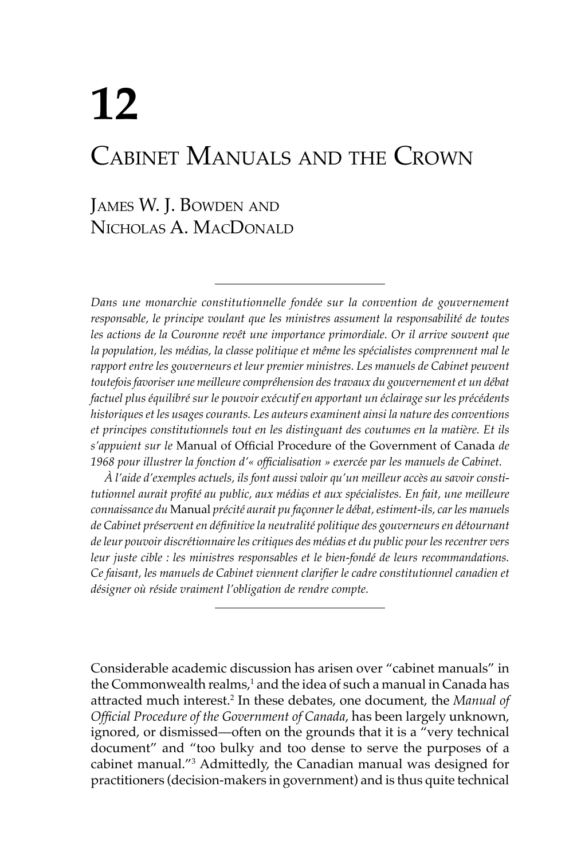# **12** Cabinet Manuals and the Crown

# James W. J. Bowden and Nicholas A. MacDonald

*Dans une monarchie constitutionnelle fondée sur la convention de gouvernement*  responsable, le principe voulant que les ministres assument la responsabilité de toutes *les actions de la Couronne revêt une importance primordiale. Or il arrive souvent que la population, les médias, la classe politique et même les spécialistes comprennent mal le*  rapport entre les gouverneurs et leur premier ministres. Les manuels de Cabinet peuvent *toutefois favoriser une meilleure compréhension des travaux du gouvernement et un débat factuel plus équilibré sur le pouvoir exécutif en apportant un éclairage sur les précédents historiques et les usages courants. Les auteurs examinent ainsi la nature des conventions et principes constitutionnels tout en les distinguant des coutumes en la matière. Et ils s'appuient sur le* Manual of Official Procedure of the Government of Canada *de 1968 pour illustrer la fonction d'« officialisation » exercée par les manuels de Cabinet.*

*À l'aide d'exemples actuels, ils font aussi valoir qu'un meilleur accès au savoir constitutionnel aurait profité au public, aux médias et aux spécialistes. En fait, une meilleure connaissance du* Manual *précité aurait pu façonner le débat, estiment-ils, car les manuels de Cabinet préservent en définitive la neutralité politique des gouverneurs en détournant de leur pouvoir discrétionnaire les critiques des médias et du public pour les recentrer vers leur juste cible : les ministres responsables et le bien-fondé de leurs recommandations. Ce faisant, les manuels de Cabinet viennent clarifier le cadre constitutionnel canadien et désigner où réside vraiment l'obligation de rendre compte.*

Considerable academic discussion has arisen over "cabinet manuals" in the Commonwealth realms,<sup>1</sup> and the idea of such a manual in Canada has attracted much interest.2 In these debates, one document, the *Manual of Official Procedure of the Government of Canada*, has been largely unknown, ignored, or dismissed—often on the grounds that it is a "very technical document" and "too bulky and too dense to serve the purposes of a cabinet manual."3 Admittedly, the Canadian manual was designed for practitioners (decision-makers in government) and is thus quite technical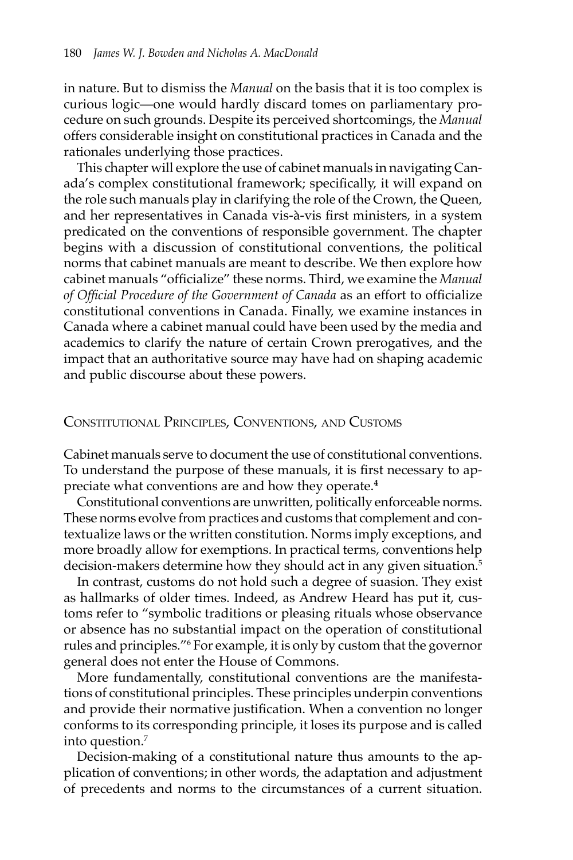in nature. But to dismiss the *Manual* on the basis that it is too complex is curious logic—one would hardly discard tomes on parliamentary procedure on such grounds. Despite its perceived shortcomings, the *Manual*  offers considerable insight on constitutional practices in Canada and the rationales underlying those practices.

This chapter will explore the use of cabinet manuals in navigating Canada's complex constitutional framework; specifically, it will expand on the role such manuals play in clarifying the role of the Crown, the Queen, and her representatives in Canada vis-à-vis first ministers, in a system predicated on the conventions of responsible government. The chapter begins with a discussion of constitutional conventions, the political norms that cabinet manuals are meant to describe. We then explore how cabinet manuals "officialize" these norms. Third, we examine the *Manual of Official Procedure of the Government of Canada* as an effort to officialize constitutional conventions in Canada. Finally, we examine instances in Canada where a cabinet manual could have been used by the media and academics to clarify the nature of certain Crown prerogatives, and the impact that an authoritative source may have had on shaping academic and public discourse about these powers.

#### Constitutional Principles, Conventions, and Customs

Cabinet manuals serve to document the use of constitutional conventions. To understand the purpose of these manuals, it is first necessary to appreciate what conventions are and how they operate.**<sup>4</sup>**

Constitutional conventions are unwritten, politically enforceable norms. These norms evolve from practices and customs that complement and contextualize laws or the written constitution. Norms imply exceptions, and more broadly allow for exemptions. In practical terms, conventions help decision-makers determine how they should act in any given situation.<sup>5</sup>

In contrast, customs do not hold such a degree of suasion. They exist as hallmarks of older times. Indeed, as Andrew Heard has put it, customs refer to "symbolic traditions or pleasing rituals whose observance or absence has no substantial impact on the operation of constitutional rules and principles."6 For example, it is only by custom that the governor general does not enter the House of Commons.

More fundamentally, constitutional conventions are the manifestations of constitutional principles. These principles underpin conventions and provide their normative justification. When a convention no longer conforms to its corresponding principle, it loses its purpose and is called into question.7

Decision-making of a constitutional nature thus amounts to the application of conventions; in other words, the adaptation and adjustment of precedents and norms to the circumstances of a current situation.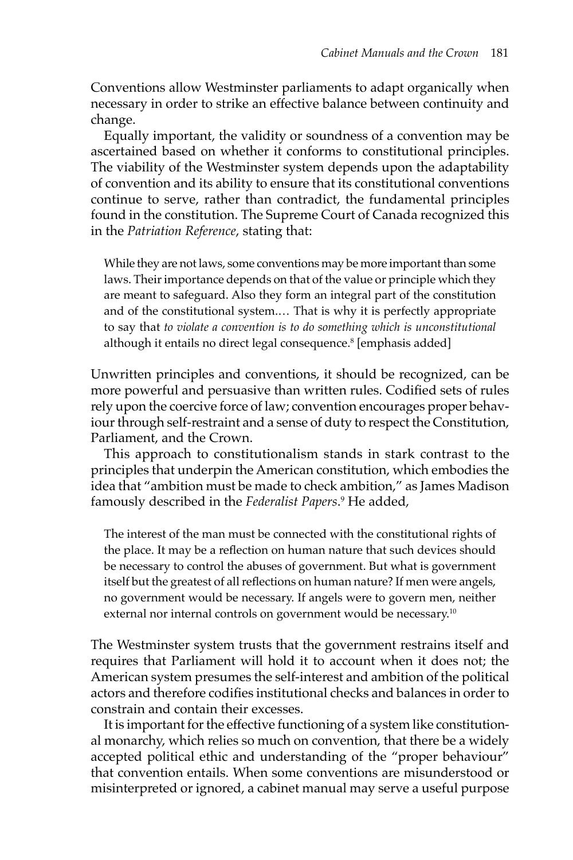Conventions allow Westminster parliaments to adapt organically when necessary in order to strike an effective balance between continuity and change.

Equally important, the validity or soundness of a convention may be ascertained based on whether it conforms to constitutional principles. The viability of the Westminster system depends upon the adaptability of convention and its ability to ensure that its constitutional conventions continue to serve, rather than contradict, the fundamental principles found in the constitution. The Supreme Court of Canada recognized this in the *Patriation Reference*, stating that:

While they are not laws, some conventions may be more important than some laws. Their importance depends on that of the value or principle which they are meant to safeguard. Also they form an integral part of the constitution and of the constitutional system.… That is why it is perfectly appropriate to say that *to violate a convention is to do something which is unconstitutional* although it entails no direct legal consequence.<sup>8</sup> [emphasis added]

Unwritten principles and conventions, it should be recognized, can be more powerful and persuasive than written rules. Codified sets of rules rely upon the coercive force of law; convention encourages proper behaviour through self-restraint and a sense of duty to respect the Constitution, Parliament, and the Crown.

This approach to constitutionalism stands in stark contrast to the principles that underpin the American constitution, which embodies the idea that "ambition must be made to check ambition," as James Madison famously described in the *Federalist Papers*. 9 He added,

The interest of the man must be connected with the constitutional rights of the place. It may be a reflection on human nature that such devices should be necessary to control the abuses of government. But what is government itself but the greatest of all reflections on human nature? If men were angels, no government would be necessary. If angels were to govern men, neither external nor internal controls on government would be necessary.<sup>10</sup>

The Westminster system trusts that the government restrains itself and requires that Parliament will hold it to account when it does not; the American system presumes the self-interest and ambition of the political actors and therefore codifies institutional checks and balances in order to constrain and contain their excesses.

It is important for the effective functioning of a system like constitutional monarchy, which relies so much on convention, that there be a widely accepted political ethic and understanding of the "proper behaviour" that convention entails. When some conventions are misunderstood or misinterpreted or ignored, a cabinet manual may serve a useful purpose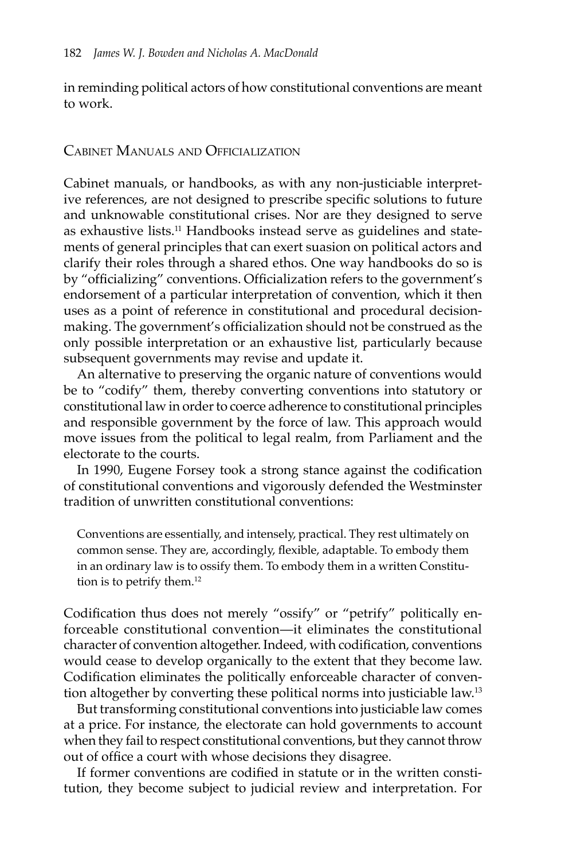in reminding political actors of how constitutional conventions are meant to work.

#### Cabinet Manuals and Officialization

Cabinet manuals, or handbooks, as with any non-justiciable interpretive references, are not designed to prescribe specific solutions to future and unknowable constitutional crises. Nor are they designed to serve as exhaustive lists.<sup>11</sup> Handbooks instead serve as guidelines and statements of general principles that can exert suasion on political actors and clarify their roles through a shared ethos. One way handbooks do so is by "officializing" conventions. Officialization refers to the government's endorsement of a particular interpretation of convention, which it then uses as a point of reference in constitutional and procedural decisionmaking. The government's officialization should not be construed as the only possible interpretation or an exhaustive list, particularly because subsequent governments may revise and update it.

An alternative to preserving the organic nature of conventions would be to "codify" them, thereby converting conventions into statutory or constitutional law in order to coerce adherence to constitutional principles and responsible government by the force of law. This approach would move issues from the political to legal realm, from Parliament and the electorate to the courts.

In 1990, Eugene Forsey took a strong stance against the codification of constitutional conventions and vigorously defended the Westminster tradition of unwritten constitutional conventions:

Conventions are essentially, and intensely, practical. They rest ultimately on common sense. They are, accordingly, flexible, adaptable. To embody them in an ordinary law is to ossify them. To embody them in a written Constitution is to petrify them.<sup>12</sup>

Codification thus does not merely "ossify" or "petrify" politically enforceable constitutional convention—it eliminates the constitutional character of convention altogether. Indeed, with codification, conventions would cease to develop organically to the extent that they become law. Codification eliminates the politically enforceable character of convention altogether by converting these political norms into justiciable law.13

But transforming constitutional conventions into justiciable law comes at a price. For instance, the electorate can hold governments to account when they fail to respect constitutional conventions, but they cannot throw out of office a court with whose decisions they disagree.

If former conventions are codified in statute or in the written constitution, they become subject to judicial review and interpretation. For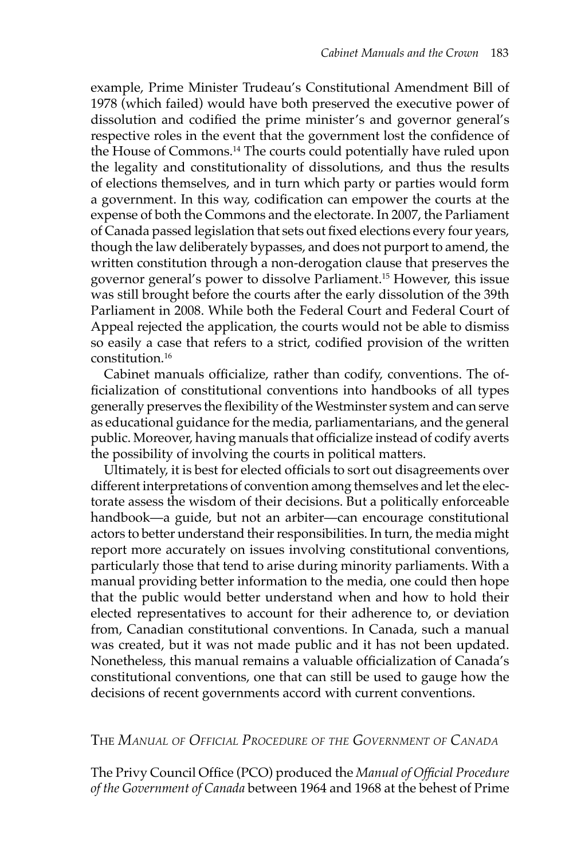example, Prime Minister Trudeau's Constitutional Amendment Bill of 1978 (which failed) would have both preserved the executive power of dissolution and codified the prime minister's and governor general's respective roles in the event that the government lost the confidence of the House of Commons.<sup>14</sup> The courts could potentially have ruled upon the legality and constitutionality of dissolutions, and thus the results of elections themselves, and in turn which party or parties would form a government. In this way, codification can empower the courts at the expense of both the Commons and the electorate. In 2007, the Parliament of Canada passed legislation that sets out fixed elections every four years, though the law deliberately bypasses, and does not purport to amend, the written constitution through a non-derogation clause that preserves the governor general's power to dissolve Parliament.15 However, this issue was still brought before the courts after the early dissolution of the 39th Parliament in 2008. While both the Federal Court and Federal Court of Appeal rejected the application, the courts would not be able to dismiss so easily a case that refers to a strict, codified provision of the written constitution.16

Cabinet manuals officialize, rather than codify, conventions. The officialization of constitutional conventions into handbooks of all types generally preserves the flexibility of the Westminster system and can serve as educational guidance for the media, parliamentarians, and the general public. Moreover, having manuals that officialize instead of codify averts the possibility of involving the courts in political matters.

Ultimately, it is best for elected officials to sort out disagreements over different interpretations of convention among themselves and let the electorate assess the wisdom of their decisions. But a politically enforceable handbook—a guide, but not an arbiter—can encourage constitutional actors to better understand their responsibilities. In turn, the media might report more accurately on issues involving constitutional conventions, particularly those that tend to arise during minority parliaments. With a manual providing better information to the media, one could then hope that the public would better understand when and how to hold their elected representatives to account for their adherence to, or deviation from, Canadian constitutional conventions. In Canada, such a manual was created, but it was not made public and it has not been updated. Nonetheless, this manual remains a valuable officialization of Canada's constitutional conventions, one that can still be used to gauge how the decisions of recent governments accord with current conventions.

The *Manual of Official Procedure of the Government of Canada*

The Privy Council Office (PCO) produced the *Manual of Official Procedure of the Government of Canada* between 1964 and 1968 at the behest of Prime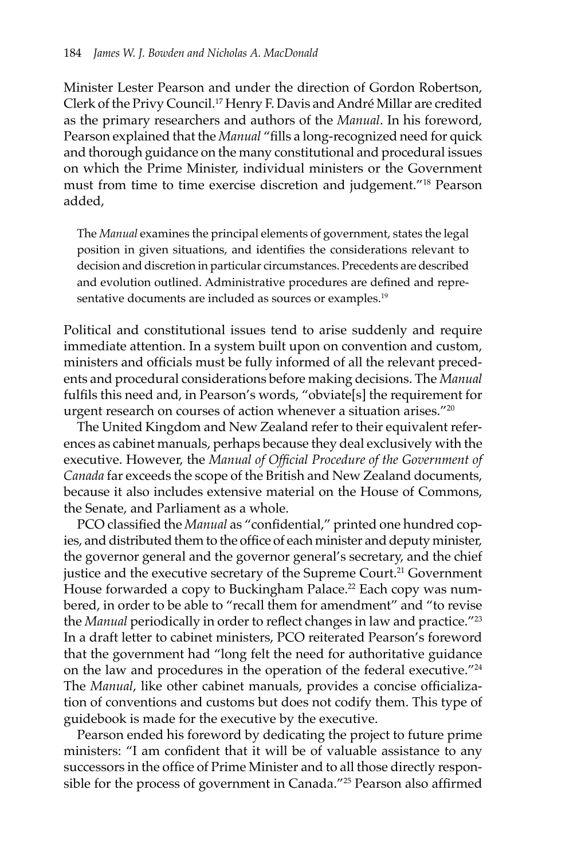Minister Lester Pearson and under the direction of Gordon Robertson, Clerk of the Privy Council.17 Henry F. Davis and André Millar are credited as the primary researchers and authors of the *Manual*. In his foreword, Pearson explained that the *Manual* "fills a long-recognized need for quick and thorough guidance on the many constitutional and procedural issues on which the Prime Minister, individual ministers or the Government must from time to time exercise discretion and judgement."18 Pearson added,

The *Manual* examines the principal elements of government, states the legal position in given situations, and identifies the considerations relevant to decision and discretion in particular circumstances. Precedents are described and evolution outlined. Administrative procedures are defined and representative documents are included as sources or examples.<sup>19</sup>

Political and constitutional issues tend to arise suddenly and require immediate attention. In a system built upon on convention and custom, ministers and officials must be fully informed of all the relevant precedents and procedural considerations before making decisions. The *Manual*  fulfils this need and, in Pearson's words, "obviate[s] the requirement for urgent research on courses of action whenever a situation arises."20

The United Kingdom and New Zealand refer to their equivalent references as cabinet manuals, perhaps because they deal exclusively with the executive. However, the *Manual of Official Procedure of the Government of Canada* far exceeds the scope of the British and New Zealand documents, because it also includes extensive material on the House of Commons, the Senate, and Parliament as a whole.

PCO classified the *Manual* as "confidential," printed one hundred copies, and distributed them to the office of each minister and deputy minister, the governor general and the governor general's secretary, and the chief justice and the executive secretary of the Supreme Court.<sup>21</sup> Government House forwarded a copy to Buckingham Palace.<sup>22</sup> Each copy was numbered, in order to be able to "recall them for amendment" and "to revise the *Manual* periodically in order to reflect changes in law and practice."23 In a draft letter to cabinet ministers, PCO reiterated Pearson's foreword that the government had "long felt the need for authoritative guidance on the law and procedures in the operation of the federal executive."24 The *Manual*, like other cabinet manuals, provides a concise officialization of conventions and customs but does not codify them. This type of guidebook is made for the executive by the executive.

Pearson ended his foreword by dedicating the project to future prime ministers: "I am confident that it will be of valuable assistance to any successors in the office of Prime Minister and to all those directly responsible for the process of government in Canada."25 Pearson also affirmed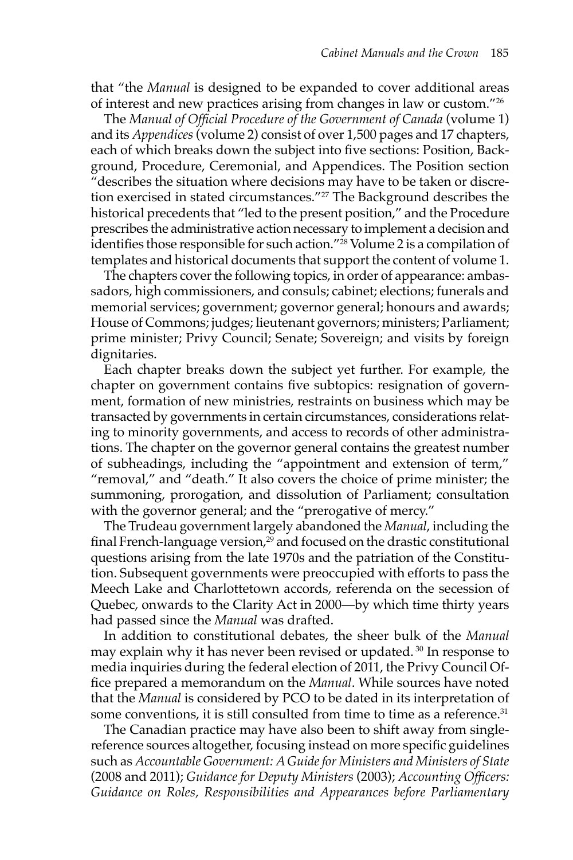that "the *Manual* is designed to be expanded to cover additional areas of interest and new practices arising from changes in law or custom."26

The *Manual of Official Procedure of the Government of Canada* (volume 1) and its *Appendices* (volume 2) consist of over 1,500 pages and 17 chapters, each of which breaks down the subject into five sections: Position, Background, Procedure, Ceremonial, and Appendices. The Position section "describes the situation where decisions may have to be taken or discretion exercised in stated circumstances."<sup>27</sup> The Background describes the historical precedents that "led to the present position," and the Procedure prescribes the administrative action necessary to implement a decision and identifies those responsible for such action."28 Volume 2 is a compilation of templates and historical documents that support the content of volume 1.

The chapters cover the following topics, in order of appearance: ambassadors, high commissioners, and consuls; cabinet; elections; funerals and memorial services; government; governor general; honours and awards; House of Commons; judges; lieutenant governors; ministers; Parliament; prime minister; Privy Council; Senate; Sovereign; and visits by foreign dignitaries.

Each chapter breaks down the subject yet further. For example, the chapter on government contains five subtopics: resignation of government, formation of new ministries, restraints on business which may be transacted by governments in certain circumstances, considerations relating to minority governments, and access to records of other administrations. The chapter on the governor general contains the greatest number of subheadings, including the "appointment and extension of term," "removal," and "death." It also covers the choice of prime minister; the summoning, prorogation, and dissolution of Parliament; consultation with the governor general; and the "prerogative of mercy."

The Trudeau government largely abandoned the *Manual*, including the final French-language version, $29$  and focused on the drastic constitutional questions arising from the late 1970s and the patriation of the Constitution. Subsequent governments were preoccupied with efforts to pass the Meech Lake and Charlottetown accords, referenda on the secession of Quebec, onwards to the Clarity Act in 2000—by which time thirty years had passed since the *Manual* was drafted.

In addition to constitutional debates, the sheer bulk of the *Manual*  may explain why it has never been revised or updated.<sup>30</sup> In response to media inquiries during the federal election of 2011, the Privy Council Office prepared a memorandum on the *Manual*. While sources have noted that the *Manual* is considered by PCO to be dated in its interpretation of some conventions, it is still consulted from time to time as a reference.<sup>31</sup>

The Canadian practice may have also been to shift away from singlereference sources altogether, focusing instead on more specific guidelines such as *Accountable Government: A Guide for Ministers and Ministers of State*  (2008 and 2011); *Guidance for Deputy Ministers* (2003); *Accounting Officers: Guidance on Roles, Responsibilities and Appearances before Parliamentary*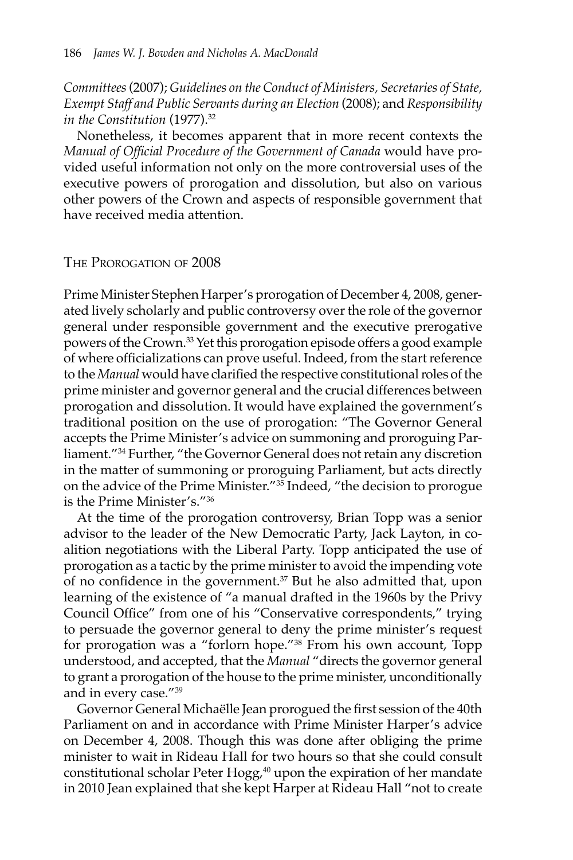*Committees* (2007); *Guidelines on the Conduct of Ministers, Secretaries of State, Exempt Staff and Public Servants during an Election* (2008); and *Responsibility in the Constitution* (1977).32

Nonetheless, it becomes apparent that in more recent contexts the *Manual of Official Procedure of the Government of Canada* would have provided useful information not only on the more controversial uses of the executive powers of prorogation and dissolution, but also on various other powers of the Crown and aspects of responsible government that have received media attention.

#### The Prorogation of 2008

Prime Minister Stephen Harper's prorogation of December 4, 2008, generated lively scholarly and public controversy over the role of the governor general under responsible government and the executive prerogative powers of the Crown.33 Yet this prorogation episode offers a good example of where officializations can prove useful. Indeed, from the start reference to the *Manual* would have clarified the respective constitutional roles of the prime minister and governor general and the crucial differences between prorogation and dissolution. It would have explained the government's traditional position on the use of prorogation: "The Governor General accepts the Prime Minister's advice on summoning and proroguing Parliament."34 Further, "the Governor General does not retain any discretion in the matter of summoning or proroguing Parliament, but acts directly on the advice of the Prime Minister."35 Indeed, "the decision to prorogue is the Prime Minister's."36

At the time of the prorogation controversy, Brian Topp was a senior advisor to the leader of the New Democratic Party, Jack Layton, in coalition negotiations with the Liberal Party. Topp anticipated the use of prorogation as a tactic by the prime minister to avoid the impending vote of no confidence in the government.37 But he also admitted that, upon learning of the existence of "a manual drafted in the 1960s by the Privy Council Office" from one of his "Conservative correspondents," trying to persuade the governor general to deny the prime minister's request for prorogation was a "forlorn hope."38 From his own account, Topp understood, and accepted, that the *Manual* "directs the governor general to grant a prorogation of the house to the prime minister, unconditionally and in every case."39

Governor General Michaëlle Jean prorogued the first session of the 40th Parliament on and in accordance with Prime Minister Harper's advice on December 4, 2008. Though this was done after obliging the prime minister to wait in Rideau Hall for two hours so that she could consult constitutional scholar Peter Hogg, $40$  upon the expiration of her mandate in 2010 Jean explained that she kept Harper at Rideau Hall "not to create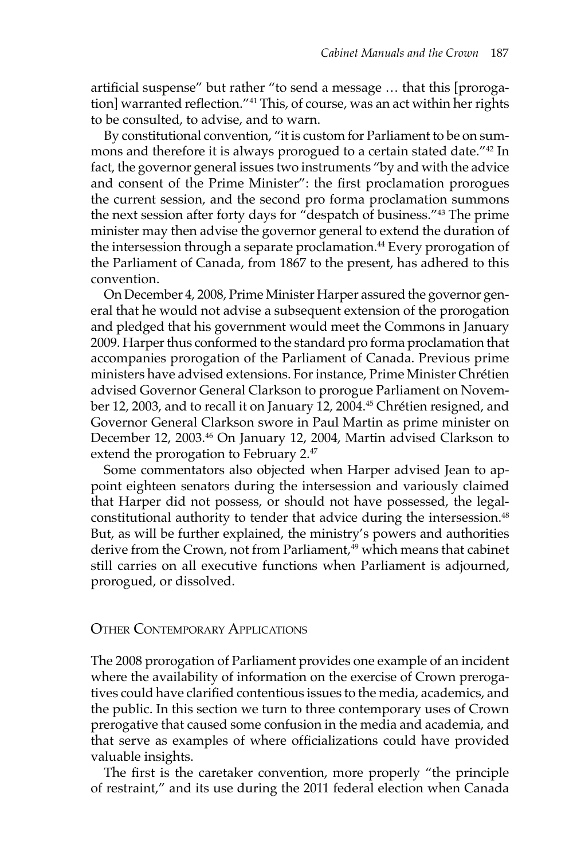artificial suspense" but rather "to send a message … that this [prorogation] warranted reflection."41 This, of course, was an act within her rights to be consulted, to advise, and to warn.

By constitutional convention, "it is custom for Parliament to be on summons and therefore it is always prorogued to a certain stated date."42 In fact, the governor general issues two instruments "by and with the advice and consent of the Prime Minister": the first proclamation prorogues the current session, and the second pro forma proclamation summons the next session after forty days for "despatch of business."43 The prime minister may then advise the governor general to extend the duration of the intersession through a separate proclamation.<sup>44</sup> Every prorogation of the Parliament of Canada, from 1867 to the present, has adhered to this convention.

On December 4, 2008, Prime Minister Harper assured the governor general that he would not advise a subsequent extension of the prorogation and pledged that his government would meet the Commons in January 2009. Harper thus conformed to the standard pro forma proclamation that accompanies prorogation of the Parliament of Canada. Previous prime ministers have advised extensions. For instance, Prime Minister Chrétien advised Governor General Clarkson to prorogue Parliament on November 12, 2003, and to recall it on January 12, 2004.<sup>45</sup> Chrétien resigned, and Governor General Clarkson swore in Paul Martin as prime minister on December 12, 2003.<sup>46</sup> On January 12, 2004, Martin advised Clarkson to extend the prorogation to February 2.<sup>47</sup>

Some commentators also objected when Harper advised Jean to appoint eighteen senators during the intersession and variously claimed that Harper did not possess, or should not have possessed, the legalconstitutional authority to tender that advice during the intersession.<sup>48</sup> But, as will be further explained, the ministry's powers and authorities derive from the Crown, not from Parliament,<sup>49</sup> which means that cabinet still carries on all executive functions when Parliament is adjourned, prorogued, or dissolved.

#### Other Contemporary Applications

The 2008 prorogation of Parliament provides one example of an incident where the availability of information on the exercise of Crown prerogatives could have clarified contentious issues to the media, academics, and the public. In this section we turn to three contemporary uses of Crown prerogative that caused some confusion in the media and academia, and that serve as examples of where officializations could have provided valuable insights.

The first is the caretaker convention, more properly "the principle of restraint," and its use during the 2011 federal election when Canada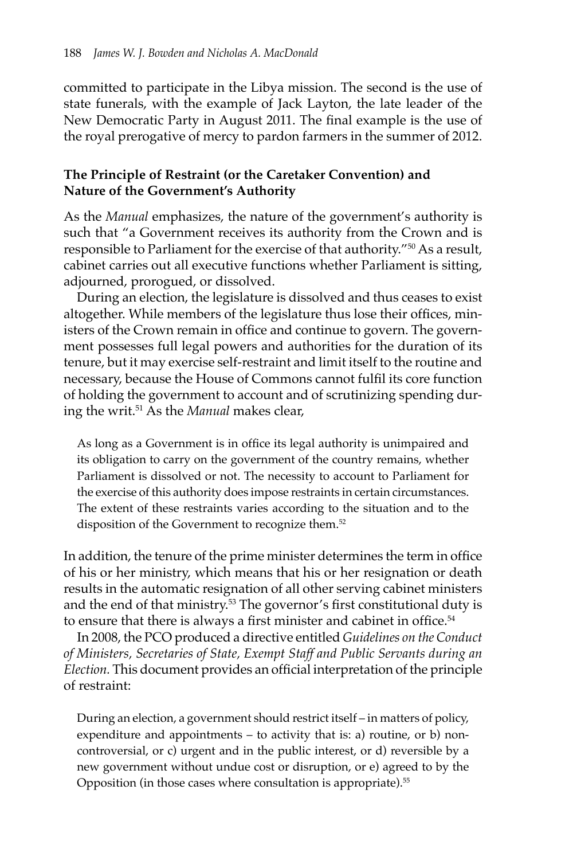committed to participate in the Libya mission. The second is the use of state funerals, with the example of Jack Layton, the late leader of the New Democratic Party in August 2011. The final example is the use of the royal prerogative of mercy to pardon farmers in the summer of 2012.

#### **The Principle of Restraint (or the Caretaker Convention) and Nature of the Government's Authority**

As the *Manual* emphasizes, the nature of the government's authority is such that "a Government receives its authority from the Crown and is responsible to Parliament for the exercise of that authority."<sup>50</sup> As a result, cabinet carries out all executive functions whether Parliament is sitting, adjourned, prorogued, or dissolved.

During an election, the legislature is dissolved and thus ceases to exist altogether. While members of the legislature thus lose their offices, ministers of the Crown remain in office and continue to govern. The government possesses full legal powers and authorities for the duration of its tenure, but it may exercise self-restraint and limit itself to the routine and necessary, because the House of Commons cannot fulfil its core function of holding the government to account and of scrutinizing spending during the writ.51 As the *Manual* makes clear,

As long as a Government is in office its legal authority is unimpaired and its obligation to carry on the government of the country remains, whether Parliament is dissolved or not. The necessity to account to Parliament for the exercise of this authority does impose restraints in certain circumstances. The extent of these restraints varies according to the situation and to the disposition of the Government to recognize them.<sup>52</sup>

In addition, the tenure of the prime minister determines the term in office of his or her ministry, which means that his or her resignation or death results in the automatic resignation of all other serving cabinet ministers and the end of that ministry.<sup>53</sup> The governor's first constitutional duty is to ensure that there is always a first minister and cabinet in office.<sup>54</sup>

In 2008, the PCO produced a directive entitled *Guidelines on the Conduct of Ministers, Secretaries of State, Exempt Staff and Public Servants during an Election.* This document provides an official interpretation of the principle of restraint:

During an election, a government should restrict itself – in matters of policy, expenditure and appointments – to activity that is: a) routine, or b) noncontroversial, or c) urgent and in the public interest, or d) reversible by a new government without undue cost or disruption, or e) agreed to by the Opposition (in those cases where consultation is appropriate).<sup>55</sup>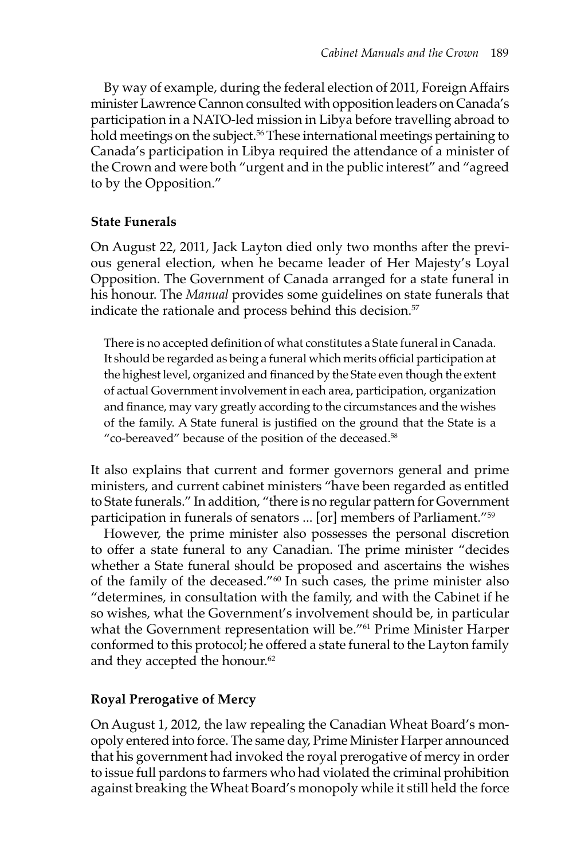By way of example, during the federal election of 2011, Foreign Affairs minister Lawrence Cannon consulted with opposition leaders on Canada's participation in a NATO-led mission in Libya before travelling abroad to hold meetings on the subject.<sup>56</sup> These international meetings pertaining to Canada's participation in Libya required the attendance of a minister of the Crown and were both "urgent and in the public interest" and "agreed to by the Opposition."

### **State Funerals**

On August 22, 2011, Jack Layton died only two months after the previous general election, when he became leader of Her Majesty's Loyal Opposition. The Government of Canada arranged for a state funeral in his honour. The *Manual* provides some guidelines on state funerals that indicate the rationale and process behind this decision.<sup>57</sup>

There is no accepted definition of what constitutes a State funeral in Canada. It should be regarded as being a funeral which merits official participation at the highest level, organized and financed by the State even though the extent of actual Government involvement in each area, participation, organization and finance, may vary greatly according to the circumstances and the wishes of the family. A State funeral is justified on the ground that the State is a "co-bereaved" because of the position of the deceased.<sup>58</sup>

It also explains that current and former governors general and prime ministers, and current cabinet ministers "have been regarded as entitled to State funerals." In addition, "there is no regular pattern for Government participation in funerals of senators ... [or] members of Parliament."59

However, the prime minister also possesses the personal discretion to offer a state funeral to any Canadian. The prime minister "decides whether a State funeral should be proposed and ascertains the wishes of the family of the deceased."60 In such cases, the prime minister also "determines, in consultation with the family, and with the Cabinet if he so wishes, what the Government's involvement should be, in particular what the Government representation will be."<sup>61</sup> Prime Minister Harper conformed to this protocol; he offered a state funeral to the Layton family and they accepted the honour.<sup>62</sup>

### **Royal Prerogative of Mercy**

On August 1, 2012, the law repealing the Canadian Wheat Board's monopoly entered into force. The same day, Prime Minister Harper announced that his government had invoked the royal prerogative of mercy in order to issue full pardons to farmers who had violated the criminal prohibition against breaking the Wheat Board's monopoly while it still held the force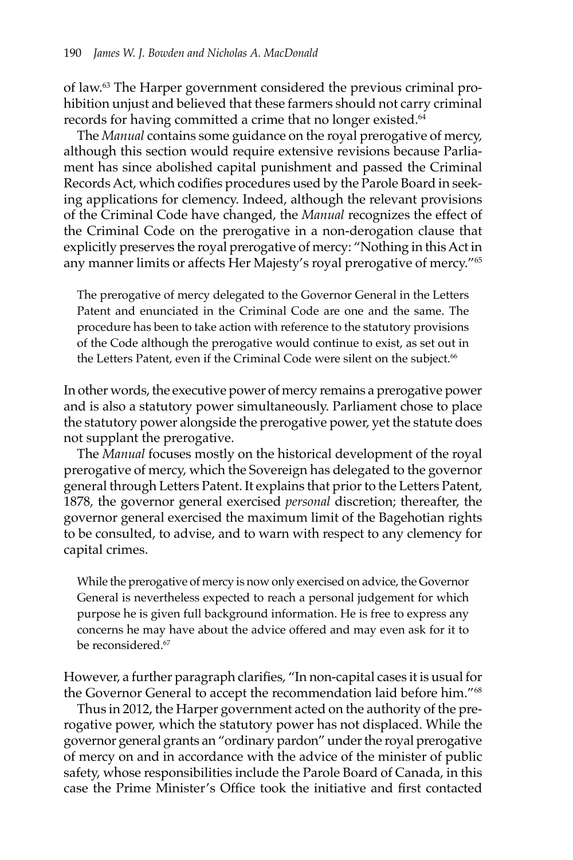of law.63 The Harper government considered the previous criminal prohibition unjust and believed that these farmers should not carry criminal records for having committed a crime that no longer existed.<sup>64</sup>

The *Manual* contains some guidance on the royal prerogative of mercy, although this section would require extensive revisions because Parliament has since abolished capital punishment and passed the Criminal Records Act, which codifies procedures used by the Parole Board in seeking applications for clemency. Indeed, although the relevant provisions of the Criminal Code have changed, the *Manual* recognizes the effect of the Criminal Code on the prerogative in a non-derogation clause that explicitly preserves the royal prerogative of mercy: "Nothing in this Act in any manner limits or affects Her Majesty's royal prerogative of mercy."65

The prerogative of mercy delegated to the Governor General in the Letters Patent and enunciated in the Criminal Code are one and the same. The procedure has been to take action with reference to the statutory provisions of the Code although the prerogative would continue to exist, as set out in the Letters Patent, even if the Criminal Code were silent on the subject.<sup>66</sup>

In other words, the executive power of mercy remains a prerogative power and is also a statutory power simultaneously. Parliament chose to place the statutory power alongside the prerogative power, yet the statute does not supplant the prerogative.

The *Manual* focuses mostly on the historical development of the royal prerogative of mercy, which the Sovereign has delegated to the governor general through Letters Patent. It explains that prior to the Letters Patent, 1878, the governor general exercised *personal* discretion; thereafter, the governor general exercised the maximum limit of the Bagehotian rights to be consulted, to advise, and to warn with respect to any clemency for capital crimes.

While the prerogative of mercy is now only exercised on advice, the Governor General is nevertheless expected to reach a personal judgement for which purpose he is given full background information. He is free to express any concerns he may have about the advice offered and may even ask for it to be reconsidered.<sup>67</sup>

However, a further paragraph clarifies, "In non-capital cases it is usual for the Governor General to accept the recommendation laid before him."68

Thus in 2012, the Harper government acted on the authority of the prerogative power, which the statutory power has not displaced. While the governor general grants an "ordinary pardon" under the royal prerogative of mercy on and in accordance with the advice of the minister of public safety, whose responsibilities include the Parole Board of Canada, in this case the Prime Minister's Office took the initiative and first contacted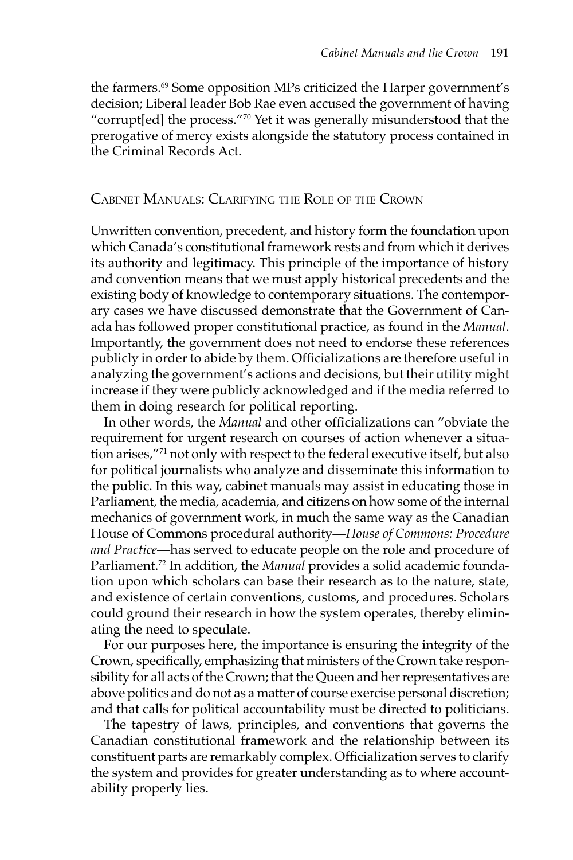the farmers.<sup>69</sup> Some opposition MPs criticized the Harper government's decision; Liberal leader Bob Rae even accused the government of having "corrupt[ed] the process."70 Yet it was generally misunderstood that the prerogative of mercy exists alongside the statutory process contained in the Criminal Records Act.

#### Cabinet Manuals: Clarifying the Role of the Crown

Unwritten convention, precedent, and history form the foundation upon which Canada's constitutional framework rests and from which it derives its authority and legitimacy. This principle of the importance of history and convention means that we must apply historical precedents and the existing body of knowledge to contemporary situations. The contemporary cases we have discussed demonstrate that the Government of Canada has followed proper constitutional practice, as found in the *Manual*. Importantly, the government does not need to endorse these references publicly in order to abide by them. Officializations are therefore useful in analyzing the government's actions and decisions, but their utility might increase if they were publicly acknowledged and if the media referred to them in doing research for political reporting.

In other words, the *Manual* and other officializations can "obviate the requirement for urgent research on courses of action whenever a situation arises,"71 not only with respect to the federal executive itself, but also for political journalists who analyze and disseminate this information to the public. In this way, cabinet manuals may assist in educating those in Parliament, the media, academia, and citizens on how some of the internal mechanics of government work, in much the same way as the Canadian House of Commons procedural authority—*House of Commons: Procedure and Practice*—has served to educate people on the role and procedure of Parliament.72 In addition, the *Manual* provides a solid academic foundation upon which scholars can base their research as to the nature, state, and existence of certain conventions, customs, and procedures. Scholars could ground their research in how the system operates, thereby eliminating the need to speculate.

For our purposes here, the importance is ensuring the integrity of the Crown, specifically, emphasizing that ministers of the Crown take responsibility for all acts of the Crown; that the Queen and her representatives are above politics and do not as a matter of course exercise personal discretion; and that calls for political accountability must be directed to politicians.

The tapestry of laws, principles, and conventions that governs the Canadian constitutional framework and the relationship between its constituent parts are remarkably complex. Officialization serves to clarify the system and provides for greater understanding as to where accountability properly lies.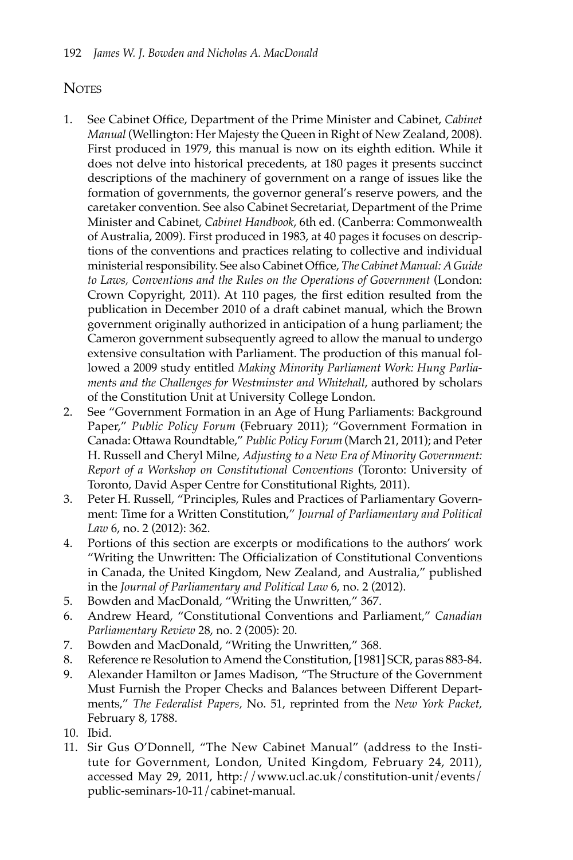## **NOTES**

- 1. See Cabinet Office, Department of the Prime Minister and Cabinet, *Cabinet Manual* (Wellington: Her Majesty the Queen in Right of New Zealand, 2008). First produced in 1979, this manual is now on its eighth edition. While it does not delve into historical precedents, at 180 pages it presents succinct descriptions of the machinery of government on a range of issues like the formation of governments, the governor general's reserve powers, and the caretaker convention. See also Cabinet Secretariat, Department of the Prime Minister and Cabinet, *Cabinet Handbook*, 6th ed. (Canberra: Commonwealth of Australia, 2009). First produced in 1983, at 40 pages it focuses on descriptions of the conventions and practices relating to collective and individual ministerial responsibility. See also Cabinet Office, *The Cabinet Manual: A Guide to Laws, Conventions and the Rules on the Operations of Government* (London: Crown Copyright, 2011). At 110 pages, the first edition resulted from the publication in December 2010 of a draft cabinet manual, which the Brown government originally authorized in anticipation of a hung parliament; the Cameron government subsequently agreed to allow the manual to undergo extensive consultation with Parliament. The production of this manual followed a 2009 study entitled *Making Minority Parliament Work: Hung Parliaments and the Challenges for Westminster and Whitehall*, authored by scholars of the Constitution Unit at University College London.
- 2. See "Government Formation in an Age of Hung Parliaments: Background Paper," *Public Policy Forum* (February 2011); "Government Formation in Canada: Ottawa Roundtable," *Public Policy Forum* (March 21, 2011); and Peter H. Russell and Cheryl Milne, *Adjusting to a New Era of Minority Government: Report of a Workshop on Constitutional Conventions* (Toronto: University of Toronto, David Asper Centre for Constitutional Rights, 2011).
- 3. Peter H. Russell, "Principles, Rules and Practices of Parliamentary Government: Time for a Written Constitution," *Journal of Parliamentary and Political Law* 6, no. 2 (2012): 362.
- 4. Portions of this section are excerpts or modifications to the authors' work "Writing the Unwritten: The Officialization of Constitutional Conventions in Canada, the United Kingdom, New Zealand, and Australia," published in the *Journal of Parliamentary and Political Law* 6, no. 2 (2012).
- 5. Bowden and MacDonald, "Writing the Unwritten," 367.
- 6. Andrew Heard, "Constitutional Conventions and Parliament," *Canadian Parliamentary Review* 28, no. 2 (2005): 20.
- 7. Bowden and MacDonald, "Writing the Unwritten," 368.
- 8. Reference re Resolution to Amend the Constitution, [1981] SCR, paras 883-84.
- 9. Alexander Hamilton or James Madison, "The Structure of the Government Must Furnish the Proper Checks and Balances between Different Departments," *The Federalist Papers,* No. 51, reprinted from the *New York Packet,* February 8, 1788.
- 10. Ibid.
- 11. Sir Gus O'Donnell, "The New Cabinet Manual" (address to the Institute for Government, London, United Kingdom, February 24, 2011), accessed May 29, 2011, http://www.ucl.ac.uk/constitution-unit/events/ public-seminars-10-11/cabinet-manual.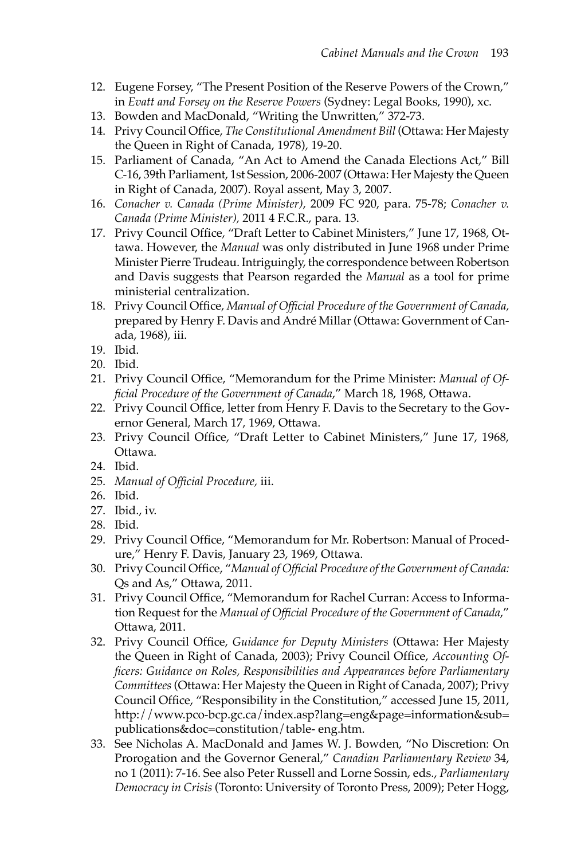- 12. Eugene Forsey, "The Present Position of the Reserve Powers of the Crown," in *Evatt and Forsey on the Reserve Powers* (Sydney: Legal Books, 1990), xc.
- 13. Bowden and MacDonald, "Writing the Unwritten," 372-73.
- 14. Privy Council Office, *The Constitutional Amendment Bill* (Ottawa: Her Majesty the Queen in Right of Canada, 1978), 19-20.
- 15. Parliament of Canada, "An Act to Amend the Canada Elections Act," Bill C-16, 39th Parliament, 1st Session, 2006-2007 (Ottawa: Her Majesty the Queen in Right of Canada, 2007). Royal assent, May 3, 2007.
- 16. *Conacher v. Canada (Prime Minister)*, 2009 FC 920, para. 75-78; *Conacher v. Canada (Prime Minister),* 2011 4 F.C.R., para. 13.
- 17. Privy Council Office, "Draft Letter to Cabinet Ministers," June 17, 1968, Ottawa. However, the *Manual* was only distributed in June 1968 under Prime Minister Pierre Trudeau. Intriguingly, the correspondence between Robertson and Davis suggests that Pearson regarded the *Manual* as a tool for prime ministerial centralization.
- 18. Privy Council Office, *Manual of Official Procedure of the Government of Canada,*  prepared by Henry F. Davis and André Millar (Ottawa: Government of Canada, 1968), iii.
- 19. Ibid.
- 20. Ibid.
- 21. Privy Council Office, "Memorandum for the Prime Minister: *Manual of Official Procedure of the Government of Canada*," March 18, 1968, Ottawa.
- 22. Privy Council Office, letter from Henry F. Davis to the Secretary to the Governor General, March 17, 1969, Ottawa.
- 23. Privy Council Office, "Draft Letter to Cabinet Ministers," June 17, 1968, Ottawa.
- 24. Ibid.
- 25. *Manual of Official Procedure,* iii.
- 26. Ibid.
- 27. Ibid., iv.
- 28. Ibid.
- 29. Privy Council Office, "Memorandum for Mr. Robertson: Manual of Procedure," Henry F. Davis, January 23, 1969, Ottawa.
- 30. Privy Council Office, "*Manual of Official Procedure of the Government of Canada:*  Qs and As," Ottawa, 2011.
- 31. Privy Council Office, "Memorandum for Rachel Curran: Access to Information Request for the *Manual of Official Procedure of the Government of Canada*," Ottawa, 2011.
- 32. Privy Council Office, *Guidance for Deputy Ministers* (Ottawa: Her Majesty the Queen in Right of Canada, 2003); Privy Council Office, *Accounting Officers: Guidance on Roles, Responsibilities and Appearances before Parliamentary Committees* (Ottawa: Her Majesty the Queen in Right of Canada, 2007); Privy Council Office, "Responsibility in the Constitution," accessed June 15, 2011, http://www.pco-bcp.gc.ca/index.asp?lang=eng&page=information&sub= publications&doc=constitution/table- eng.htm.
- 33. See Nicholas A. MacDonald and James W. J. Bowden, "No Discretion: On Prorogation and the Governor General," *Canadian Parliamentary Review* 34, no 1 (2011): 7-16. See also Peter Russell and Lorne Sossin, eds., *Parliamentary Democracy in Crisis* (Toronto: University of Toronto Press, 2009); Peter Hogg,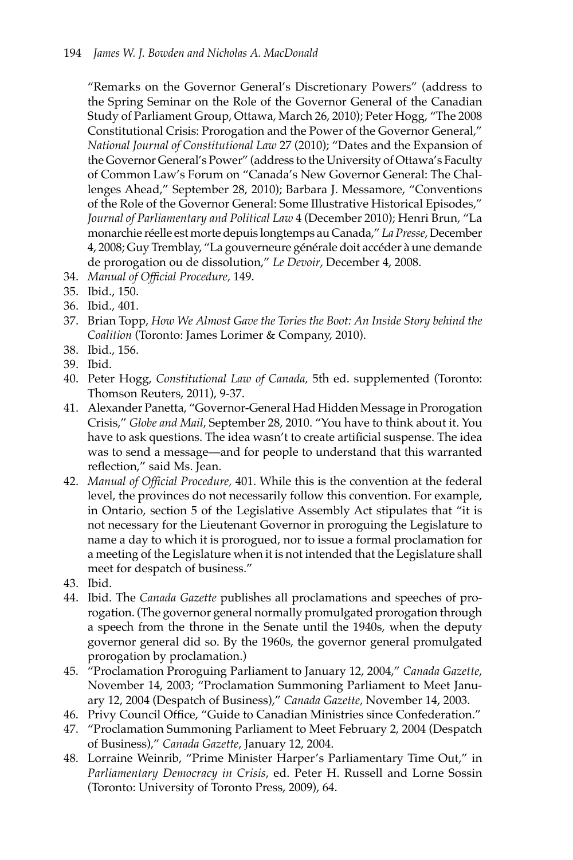"Remarks on the Governor General's Discretionary Powers" (address to the Spring Seminar on the Role of the Governor General of the Canadian Study of Parliament Group, Ottawa, March 26, 2010); Peter Hogg, "The 2008 Constitutional Crisis: Prorogation and the Power of the Governor General," *National Journal of Constitutional Law* 27 (2010); "Dates and the Expansion of the Governor General's Power" (address to the University of Ottawa's Faculty of Common Law's Forum on "Canada's New Governor General: The Challenges Ahead," September 28, 2010); Barbara J. Messamore, "Conventions of the Role of the Governor General: Some Illustrative Historical Episodes," *Journal of Parliamentary and Political Law* 4 (December 2010); Henri Brun, "La monarchie réelle est morte depuis longtemps au Canada," *La Presse*, December 4, 2008; Guy Tremblay, "La gouverneure générale doit accéder à une demande de prorogation ou de dissolution," *Le Devoir*, December 4, 2008.

- 34. *Manual of Official Procedure,* 149.
- 35. Ibid., 150.
- 36. Ibid., 401.
- 37. Brian Topp, *How We Almost Gave the Tories the Boot: An Inside Story behind the Coalition* (Toronto: James Lorimer & Company, 2010).
- 38. Ibid., 156.
- 39. Ibid.
- 40. Peter Hogg, *Constitutional Law of Canada,* 5th ed. supplemented (Toronto: Thomson Reuters, 2011), 9-37.
- 41. Alexander Panetta, "Governor-General Had Hidden Message in Prorogation Crisis," *Globe and Mail*, September 28, 2010. "You have to think about it. You have to ask questions. The idea wasn't to create artificial suspense. The idea was to send a message—and for people to understand that this warranted reflection," said Ms. Jean.
- 42. *Manual of Official Procedure,* 401. While this is the convention at the federal level, the provinces do not necessarily follow this convention. For example, in Ontario, section 5 of the Legislative Assembly Act stipulates that "it is not necessary for the Lieutenant Governor in proroguing the Legislature to name a day to which it is prorogued, nor to issue a formal proclamation for a meeting of the Legislature when it is not intended that the Legislature shall meet for despatch of business."
- 43. Ibid.
- 44. Ibid. The *Canada Gazette* publishes all proclamations and speeches of prorogation. (The governor general normally promulgated prorogation through a speech from the throne in the Senate until the 1940s, when the deputy governor general did so. By the 1960s, the governor general promulgated prorogation by proclamation.)
- 45. "Proclamation Proroguing Parliament to January 12, 2004," *Canada Gazette*, November 14, 2003; "Proclamation Summoning Parliament to Meet January 12, 2004 (Despatch of Business)," *Canada Gazette,* November 14, 2003.
- 46. Privy Council Office, "Guide to Canadian Ministries since Confederation."
- 47. "Proclamation Summoning Parliament to Meet February 2, 2004 (Despatch of Business)," *Canada Gazette*, January 12, 2004.
- 48. Lorraine Weinrib, "Prime Minister Harper's Parliamentary Time Out," in *Parliamentary Democracy in Crisis*, ed. Peter H. Russell and Lorne Sossin (Toronto: University of Toronto Press, 2009), 64.